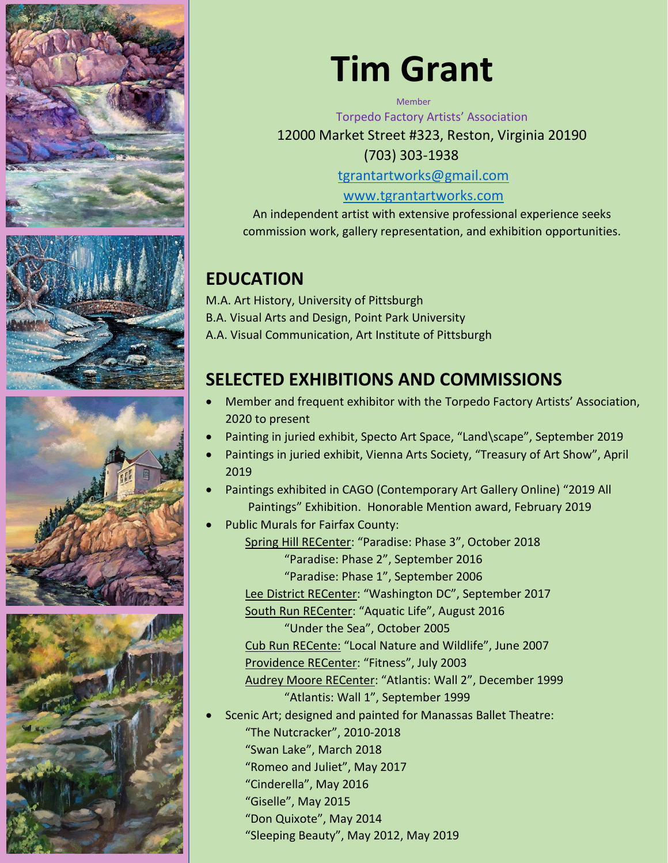







## **Tim Grant**

**Memher** 

Torpedo Factory Artists' Association

12000 Market Street #323, Reston, Virginia 20190 (703) 303-1938

[tgrantartworks@gmail.com](mailto:tgrantartworks@gmail.com)

[www.tgrantartworks.com](http://www.tgrantartworks.com/)

An independent artist with extensive professional experience seeks commission work, gallery representation, and exhibition opportunities.

## **EDUCATION**

M.A. Art History, University of Pittsburgh B.A. Visual Arts and Design, Point Park University A.A. Visual Communication, Art Institute of Pittsburgh

## **SELECTED EXHIBITIONS AND COMMISSIONS**

- Member and frequent exhibitor with the Torpedo Factory Artists' Association, 2020 to present
- Painting in juried exhibit, Specto Art Space, "Land\scape", September 2019
- Paintings in juried exhibit, Vienna Arts Society, "Treasury of Art Show", April 2019
- Paintings exhibited in CAGO (Contemporary Art Gallery Online) "2019 All Paintings" Exhibition. Honorable Mention award, February 2019
	- Public Murals for Fairfax County: Spring Hill RECenter: "Paradise: Phase 3", October 2018 "Paradise: Phase 2", September 2016 "Paradise: Phase 1", September 2006 Lee District RECenter: "Washington DC", September 2017 South Run RECenter: "Aquatic Life", August 2016 "Under the Sea", October 2005 Cub Run RECente: "Local Nature and Wildlife", June 2007 Providence RECenter: "Fitness", July 2003 Audrey Moore RECenter: "Atlantis: Wall 2", December 1999 "Atlantis: Wall 1", September 1999
- Scenic Art; designed and painted for Manassas Ballet Theatre:
	- "The Nutcracker", 2010-2018 "Swan Lake", March 2018
	- "Romeo and Juliet", May 2017
	- "Cinderella", May 2016
	- "Giselle", May 2015
		- "Don Quixote", May 2014
		- "Sleeping Beauty", May 2012, May 2019